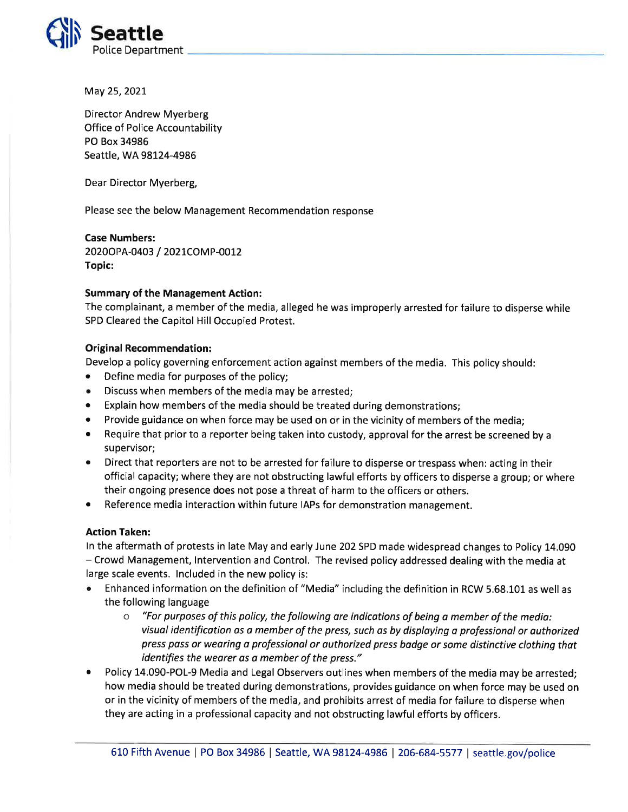

May 25,2O2I

Director Andrew Myerberg Office of Police Accountability PO Box 34986 Seattle, WA 98124-4986

Dear Director Myerberg,

Please see the below Management Recommendation response

## Case Numbers:

20200 PA-0403 / 2021 COMP-0012 Topic:

## Summary of the Management Action:

The complainant, a member of the media, alleged he was improperly arrested for failure to disperse while SPD Cleared the Capitol Hill Occupied Protest.

## **Original Recommendation:**

Develop a policy governing enforcement action against members of the media. This policy should:

- Define media for purposes of the policy;
- Discuss when members of the media may be arrested;
- Explain how members of the media should be treated during demonstrations;
- Provide guidance on when force may be used on or in the vicinity of members of the media;
- Require that prior to a reporter being taken into custody, approval for the arrest be screened by a supervisor;
- Direct that reporters are not to be arrested for failure to disperse or trespass when: acting in their official capacity; where they are not obstructing lawful efforts by officers to disperse a group; or where their ongoing presence does not pose a threat of harm to the officers or others.
- Reference media interaction within future IAPs for demonstration management.

## Action Taken:

ln the aftermath of protests in late May and early June 202 SPD made widespread changes to Policy 14.090 - Crowd Management, lntervention and Control, The revised policy addressed dealing with the media at large scale events. lncluded in the new policy is:

- Enhanced information on the definition of "Media" including the definition in RCW 5.68.101 as well as the following language
	- $\circ$  "For purposes of this policy, the following are indications of being a member of the media: visual identification as o member of the press, such as by disploying a professionol or authorized press pass or weoring a professional or authorized press bodge or some distinctive clothing that identifies the wearer as a member of the press."
- Policy 14.090-POL-9 Media and Legal Observers outlines when members of the media may be arrested; how media should be treated during demonstrations, provides guidance on when force may be used on or in the vicinity of members of the media, and prohibits arrest of media for failure to disperse when they are acting in a professional capacity and not obstructing lawful efforts by officers.